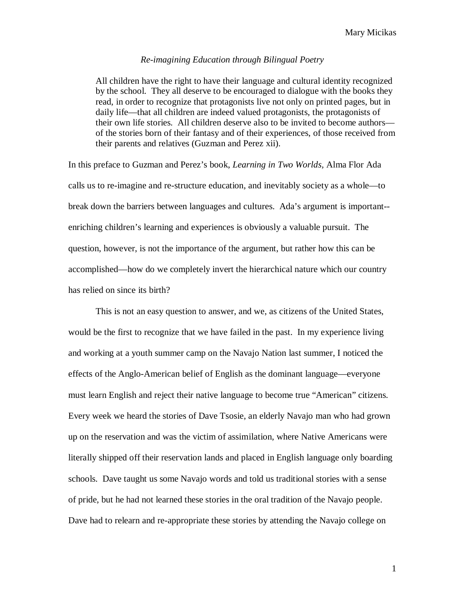## *Re-imagining Education through Bilingual Poetry*

All children have the right to have their language and cultural identity recognized by the school. They all deserve to be encouraged to dialogue with the books they read, in order to recognize that protagonists live not only on printed pages, but in daily life—that all children are indeed valued protagonists, the protagonists of their own life stories. All children deserve also to be invited to become authors of the stories born of their fantasy and of their experiences, of those received from their parents and relatives (Guzman and Perez xii).

In this preface to Guzman and Perez's book, *Learning in Two Worlds,* Alma Flor Ada calls us to re-imagine and re-structure education, and inevitably society as a whole—to break down the barriers between languages and cultures. Ada's argument is important- enriching children's learning and experiences is obviously a valuable pursuit. The question, however, is not the importance of the argument, but rather how this can be accomplished—how do we completely invert the hierarchical nature which our country has relied on since its birth?

This is not an easy question to answer, and we, as citizens of the United States, would be the first to recognize that we have failed in the past. In my experience living and working at a youth summer camp on the Navajo Nation last summer, I noticed the effects of the Anglo-American belief of English as the dominant language—everyone must learn English and reject their native language to become true "American" citizens. Every week we heard the stories of Dave Tsosie, an elderly Navajo man who had grown up on the reservation and was the victim of assimilation, where Native Americans were literally shipped off their reservation lands and placed in English language only boarding schools. Dave taught us some Navajo words and told us traditional stories with a sense of pride, but he had not learned these stories in the oral tradition of the Navajo people. Dave had to relearn and re-appropriate these stories by attending the Navajo college on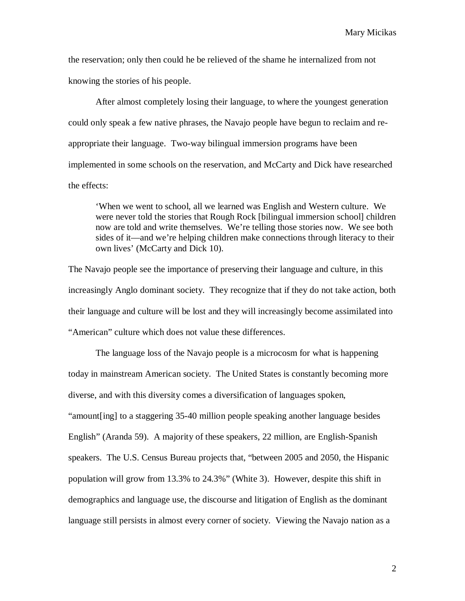the reservation; only then could he be relieved of the shame he internalized from not knowing the stories of his people.

After almost completely losing their language, to where the youngest generation could only speak a few native phrases, the Navajo people have begun to reclaim and reappropriate their language. Two-way bilingual immersion programs have been implemented in some schools on the reservation, and McCarty and Dick have researched the effects:

'When we went to school, all we learned was English and Western culture. We were never told the stories that Rough Rock [bilingual immersion school] children now are told and write themselves. We're telling those stories now. We see both sides of it—and we're helping children make connections through literacy to their own lives' (McCarty and Dick 10).

The Navajo people see the importance of preserving their language and culture, in this increasingly Anglo dominant society. They recognize that if they do not take action, both their language and culture will be lost and they will increasingly become assimilated into "American" culture which does not value these differences.

The language loss of the Navajo people is a microcosm for what is happening today in mainstream American society. The United States is constantly becoming more diverse, and with this diversity comes a diversification of languages spoken, "amount[ing] to a staggering 35-40 million people speaking another language besides English" (Aranda 59). A majority of these speakers, 22 million, are English-Spanish speakers. The U.S. Census Bureau projects that, "between 2005 and 2050, the Hispanic population will grow from 13.3% to 24.3%" (White 3). However, despite this shift in demographics and language use, the discourse and litigation of English as the dominant language still persists in almost every corner of society. Viewing the Navajo nation as a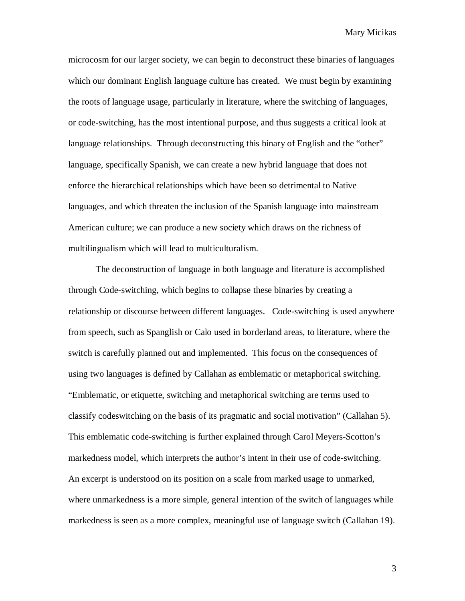microcosm for our larger society, we can begin to deconstruct these binaries of languages which our dominant English language culture has created. We must begin by examining the roots of language usage, particularly in literature, where the switching of languages, or code-switching, has the most intentional purpose, and thus suggests a critical look at language relationships. Through deconstructing this binary of English and the "other" language, specifically Spanish, we can create a new hybrid language that does not enforce the hierarchical relationships which have been so detrimental to Native languages, and which threaten the inclusion of the Spanish language into mainstream American culture; we can produce a new society which draws on the richness of multilingualism which will lead to multiculturalism.

The deconstruction of language in both language and literature is accomplished through Code-switching, which begins to collapse these binaries by creating a relationship or discourse between different languages. Code-switching is used anywhere from speech, such as Spanglish or Calo used in borderland areas, to literature, where the switch is carefully planned out and implemented. This focus on the consequences of using two languages is defined by Callahan as emblematic or metaphorical switching. "Emblematic, or etiquette, switching and metaphorical switching are terms used to classify codeswitching on the basis of its pragmatic and social motivation" (Callahan 5). This emblematic code-switching is further explained through Carol Meyers-Scotton's markedness model, which interprets the author's intent in their use of code-switching. An excerpt is understood on its position on a scale from marked usage to unmarked, where unmarkedness is a more simple, general intention of the switch of languages while markedness is seen as a more complex, meaningful use of language switch (Callahan 19).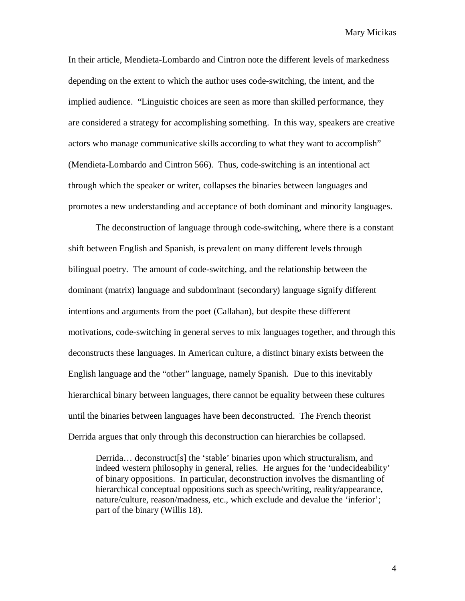In their article, Mendieta-Lombardo and Cintron note the different levels of markedness depending on the extent to which the author uses code-switching, the intent, and the implied audience. "Linguistic choices are seen as more than skilled performance, they are considered a strategy for accomplishing something. In this way, speakers are creative actors who manage communicative skills according to what they want to accomplish" (Mendieta-Lombardo and Cintron 566). Thus, code-switching is an intentional act through which the speaker or writer, collapses the binaries between languages and promotes a new understanding and acceptance of both dominant and minority languages.

The deconstruction of language through code-switching, where there is a constant shift between English and Spanish, is prevalent on many different levels through bilingual poetry. The amount of code-switching, and the relationship between the dominant (matrix) language and subdominant (secondary) language signify different intentions and arguments from the poet (Callahan), but despite these different motivations, code-switching in general serves to mix languages together, and through this deconstructs these languages. In American culture, a distinct binary exists between the English language and the "other" language, namely Spanish. Due to this inevitably hierarchical binary between languages, there cannot be equality between these cultures until the binaries between languages have been deconstructed. The French theorist Derrida argues that only through this deconstruction can hierarchies be collapsed.

Derrida... deconstruct<sup>[s]</sup> the 'stable' binaries upon which structuralism, and indeed western philosophy in general, relies. He argues for the 'undecideability' of binary oppositions. In particular, deconstruction involves the dismantling of hierarchical conceptual oppositions such as speech/writing, reality/appearance, nature/culture, reason/madness, etc., which exclude and devalue the 'inferior'; part of the binary (Willis 18).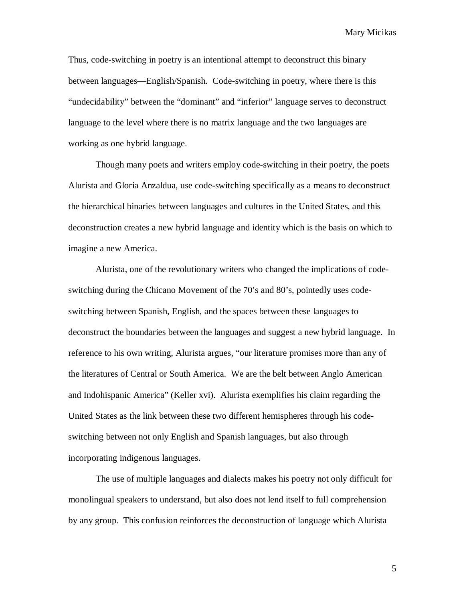Thus, code-switching in poetry is an intentional attempt to deconstruct this binary between languages—English/Spanish. Code-switching in poetry, where there is this "undecidability" between the "dominant" and "inferior" language serves to deconstruct language to the level where there is no matrix language and the two languages are working as one hybrid language.

Though many poets and writers employ code-switching in their poetry, the poets Alurista and Gloria Anzaldua, use code-switching specifically as a means to deconstruct the hierarchical binaries between languages and cultures in the United States, and this deconstruction creates a new hybrid language and identity which is the basis on which to imagine a new America.

Alurista, one of the revolutionary writers who changed the implications of codeswitching during the Chicano Movement of the 70's and 80's, pointedly uses codeswitching between Spanish, English, and the spaces between these languages to deconstruct the boundaries between the languages and suggest a new hybrid language. In reference to his own writing, Alurista argues, "our literature promises more than any of the literatures of Central or South America. We are the belt between Anglo American and Indohispanic America" (Keller xvi). Alurista exemplifies his claim regarding the United States as the link between these two different hemispheres through his codeswitching between not only English and Spanish languages, but also through incorporating indigenous languages.

The use of multiple languages and dialects makes his poetry not only difficult for monolingual speakers to understand, but also does not lend itself to full comprehension by any group. This confusion reinforces the deconstruction of language which Alurista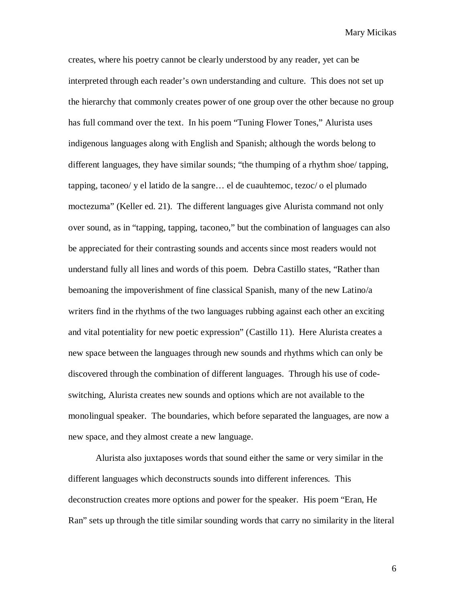creates, where his poetry cannot be clearly understood by any reader, yet can be interpreted through each reader's own understanding and culture. This does not set up the hierarchy that commonly creates power of one group over the other because no group has full command over the text. In his poem "Tuning Flower Tones," Alurista uses indigenous languages along with English and Spanish; although the words belong to different languages, they have similar sounds; "the thumping of a rhythm shoe/ tapping, tapping, taconeo/ y el latido de la sangre… el de cuauhtemoc, tezoc/ o el plumado moctezuma" (Keller ed. 21). The different languages give Alurista command not only over sound, as in "tapping, tapping, taconeo," but the combination of languages can also be appreciated for their contrasting sounds and accents since most readers would not understand fully all lines and words of this poem. Debra Castillo states, "Rather than bemoaning the impoverishment of fine classical Spanish, many of the new Latino/a writers find in the rhythms of the two languages rubbing against each other an exciting and vital potentiality for new poetic expression" (Castillo 11). Here Alurista creates a new space between the languages through new sounds and rhythms which can only be discovered through the combination of different languages. Through his use of codeswitching, Alurista creates new sounds and options which are not available to the monolingual speaker. The boundaries, which before separated the languages, are now a new space, and they almost create a new language.

 Alurista also juxtaposes words that sound either the same or very similar in the different languages which deconstructs sounds into different inferences. This deconstruction creates more options and power for the speaker. His poem "Eran, He Ran" sets up through the title similar sounding words that carry no similarity in the literal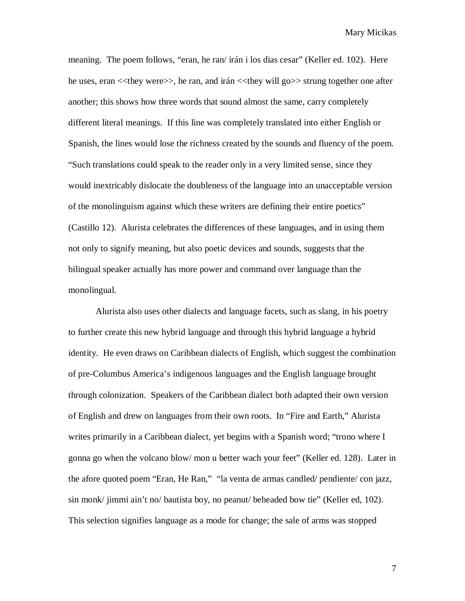meaning. The poem follows, "eran, he ran/ irán i los dias cesar" (Keller ed. 102). Here he uses, eran <<they were>>, he ran, and irán <<they will go>> strung together one after another; this shows how three words that sound almost the same, carry completely different literal meanings. If this line was completely translated into either English or Spanish, the lines would lose the richness created by the sounds and fluency of the poem. "Such translations could speak to the reader only in a very limited sense, since they would inextricably dislocate the doubleness of the language into an unacceptable version of the monolinguism against which these writers are defining their entire poetics" (Castillo 12). Alurista celebrates the differences of these languages, and in using them not only to signify meaning, but also poetic devices and sounds, suggests that the bilingual speaker actually has more power and command over language than the monolingual.

 Alurista also uses other dialects and language facets, such as slang, in his poetry to further create this new hybrid language and through this hybrid language a hybrid identity. He even draws on Caribbean dialects of English, which suggest the combination of pre-Columbus America's indigenous languages and the English language brought through colonization. Speakers of the Caribbean dialect both adapted their own version of English and drew on languages from their own roots. In "Fire and Earth," Alurista writes primarily in a Caribbean dialect, yet begins with a Spanish word; "trono where I gonna go when the volcano blow/ mon u better wach your feet" (Keller ed. 128). Later in the afore quoted poem "Eran, He Ran," "la venta de armas candled/ pendiente/ con jazz, sin monk/ jimmi ain't no/ bautista boy, no peanut/ beheaded bow tie" (Keller ed, 102). This selection signifies language as a mode for change; the sale of arms was stopped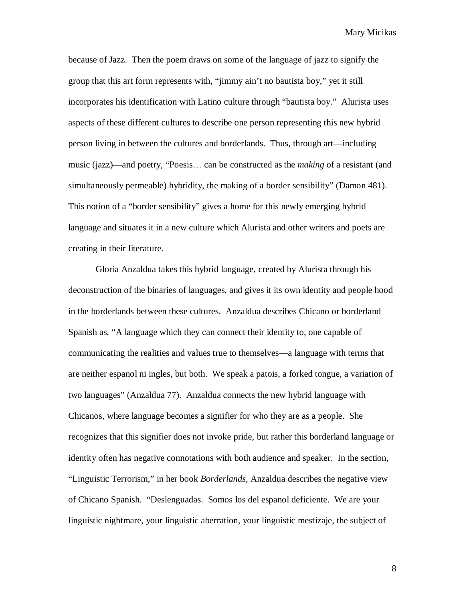because of Jazz. Then the poem draws on some of the language of jazz to signify the group that this art form represents with, "jimmy ain't no bautista boy," yet it still incorporates his identification with Latino culture through "bautista boy." Alurista uses aspects of these different cultures to describe one person representing this new hybrid person living in between the cultures and borderlands. Thus, through art—including music (jazz)—and poetry, "Poesis… can be constructed as the *making* of a resistant (and simultaneously permeable) hybridity, the making of a border sensibility" (Damon 481). This notion of a "border sensibility" gives a home for this newly emerging hybrid language and situates it in a new culture which Alurista and other writers and poets are creating in their literature.

 Gloria Anzaldua takes this hybrid language, created by Alurista through his deconstruction of the binaries of languages, and gives it its own identity and people hood in the borderlands between these cultures. Anzaldua describes Chicano or borderland Spanish as, "A language which they can connect their identity to, one capable of communicating the realities and values true to themselves—a language with terms that are neither espanol ni ingles, but both. We speak a patois, a forked tongue, a variation of two languages" (Anzaldua 77). Anzaldua connects the new hybrid language with Chicanos, where language becomes a signifier for who they are as a people. She recognizes that this signifier does not invoke pride, but rather this borderland language or identity often has negative connotations with both audience and speaker. In the section, "Linguistic Terrorism," in her book *Borderlands,* Anzaldua describes the negative view of Chicano Spanish. "Deslenguadas. Somos los del espanol deficiente. We are your linguistic nightmare, your linguistic aberration, your linguistic mestizaje, the subject of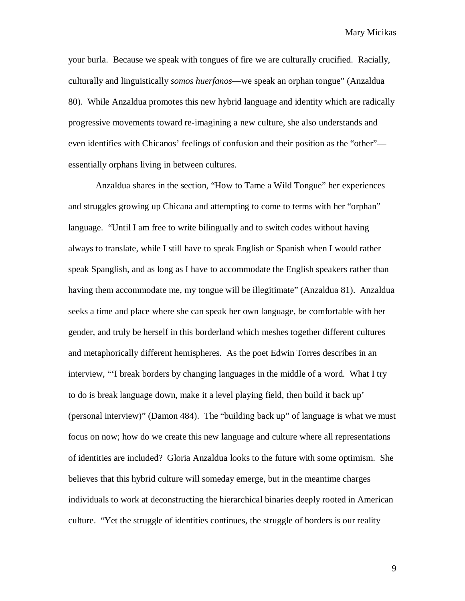your burla. Because we speak with tongues of fire we are culturally crucified. Racially, culturally and linguistically *somos huerfanos*—we speak an orphan tongue" (Anzaldua 80). While Anzaldua promotes this new hybrid language and identity which are radically progressive movements toward re-imagining a new culture, she also understands and even identifies with Chicanos' feelings of confusion and their position as the "other" essentially orphans living in between cultures.

Anzaldua shares in the section, "How to Tame a Wild Tongue" her experiences and struggles growing up Chicana and attempting to come to terms with her "orphan" language. "Until I am free to write bilingually and to switch codes without having always to translate, while I still have to speak English or Spanish when I would rather speak Spanglish, and as long as I have to accommodate the English speakers rather than having them accommodate me, my tongue will be illegitimate" (Anzaldua 81). Anzaldua seeks a time and place where she can speak her own language, be comfortable with her gender, and truly be herself in this borderland which meshes together different cultures and metaphorically different hemispheres. As the poet Edwin Torres describes in an interview, "'I break borders by changing languages in the middle of a word. What I try to do is break language down, make it a level playing field, then build it back up' (personal interview)" (Damon 484). The "building back up" of language is what we must focus on now; how do we create this new language and culture where all representations of identities are included? Gloria Anzaldua looks to the future with some optimism. She believes that this hybrid culture will someday emerge, but in the meantime charges individuals to work at deconstructing the hierarchical binaries deeply rooted in American culture. "Yet the struggle of identities continues, the struggle of borders is our reality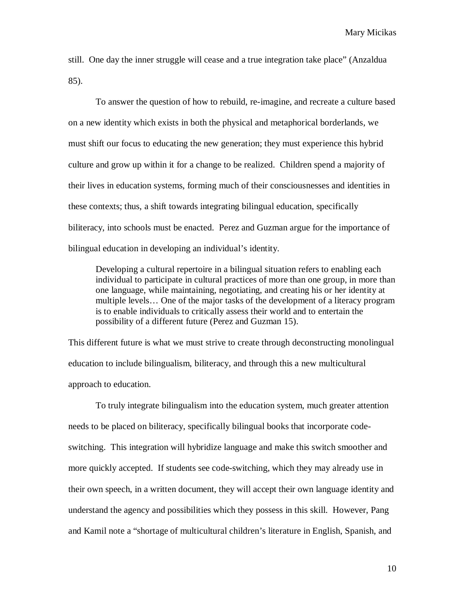still. One day the inner struggle will cease and a true integration take place" (Anzaldua 85).

 To answer the question of how to rebuild, re-imagine, and recreate a culture based on a new identity which exists in both the physical and metaphorical borderlands, we must shift our focus to educating the new generation; they must experience this hybrid culture and grow up within it for a change to be realized. Children spend a majority of their lives in education systems, forming much of their consciousnesses and identities in these contexts; thus, a shift towards integrating bilingual education, specifically biliteracy, into schools must be enacted. Perez and Guzman argue for the importance of bilingual education in developing an individual's identity.

Developing a cultural repertoire in a bilingual situation refers to enabling each individual to participate in cultural practices of more than one group, in more than one language, while maintaining, negotiating, and creating his or her identity at multiple levels… One of the major tasks of the development of a literacy program is to enable individuals to critically assess their world and to entertain the possibility of a different future (Perez and Guzman 15).

This different future is what we must strive to create through deconstructing monolingual education to include bilingualism, biliteracy, and through this a new multicultural approach to education.

 To truly integrate bilingualism into the education system, much greater attention needs to be placed on biliteracy, specifically bilingual books that incorporate codeswitching. This integration will hybridize language and make this switch smoother and more quickly accepted. If students see code-switching, which they may already use in their own speech, in a written document, they will accept their own language identity and understand the agency and possibilities which they possess in this skill. However, Pang and Kamil note a "shortage of multicultural children's literature in English, Spanish, and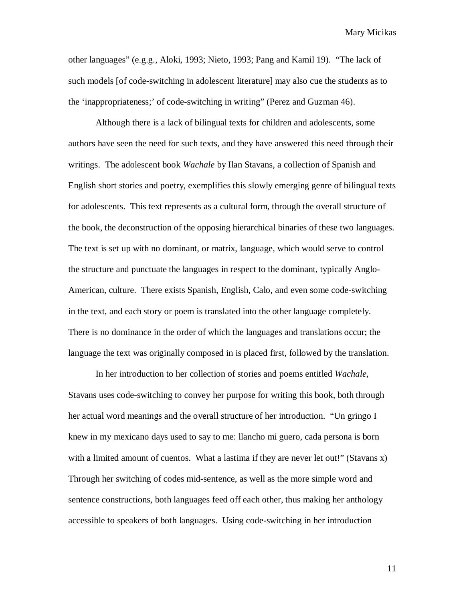other languages" (e.g.g., Aloki, 1993; Nieto, 1993; Pang and Kamil 19). "The lack of such models [of code-switching in adolescent literature] may also cue the students as to the 'inappropriateness;' of code-switching in writing" (Perez and Guzman 46).

Although there is a lack of bilingual texts for children and adolescents, some authors have seen the need for such texts, and they have answered this need through their writings. The adolescent book *Wachale* by Ilan Stavans, a collection of Spanish and English short stories and poetry, exemplifies this slowly emerging genre of bilingual texts for adolescents. This text represents as a cultural form, through the overall structure of the book, the deconstruction of the opposing hierarchical binaries of these two languages. The text is set up with no dominant, or matrix, language, which would serve to control the structure and punctuate the languages in respect to the dominant, typically Anglo-American, culture. There exists Spanish, English, Calo, and even some code-switching in the text, and each story or poem is translated into the other language completely. There is no dominance in the order of which the languages and translations occur; the language the text was originally composed in is placed first, followed by the translation.

In her introduction to her collection of stories and poems entitled *Wachale,* Stavans uses code-switching to convey her purpose for writing this book, both through her actual word meanings and the overall structure of her introduction. "Un gringo I knew in my mexicano days used to say to me: llancho mi guero, cada persona is born with a limited amount of cuentos. What a lastima if they are never let out!" (Stavans x) Through her switching of codes mid-sentence, as well as the more simple word and sentence constructions, both languages feed off each other, thus making her anthology accessible to speakers of both languages. Using code-switching in her introduction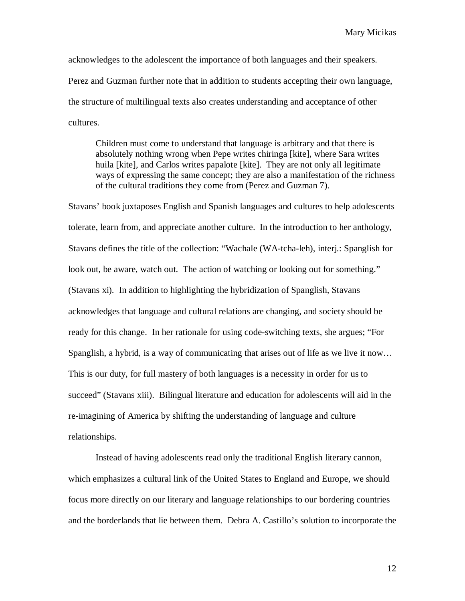acknowledges to the adolescent the importance of both languages and their speakers. Perez and Guzman further note that in addition to students accepting their own language, the structure of multilingual texts also creates understanding and acceptance of other cultures.

Children must come to understand that language is arbitrary and that there is absolutely nothing wrong when Pepe writes chiringa [kite], where Sara writes huila [kite], and Carlos writes papalote [kite]. They are not only all legitimate ways of expressing the same concept; they are also a manifestation of the richness of the cultural traditions they come from (Perez and Guzman 7).

Stavans' book juxtaposes English and Spanish languages and cultures to help adolescents tolerate, learn from, and appreciate another culture. In the introduction to her anthology, Stavans defines the title of the collection: "Wachale (WA-tcha-leh), interj.: Spanglish for look out, be aware, watch out. The action of watching or looking out for something." (Stavans xi). In addition to highlighting the hybridization of Spanglish, Stavans acknowledges that language and cultural relations are changing, and society should be ready for this change. In her rationale for using code-switching texts, she argues; "For Spanglish, a hybrid, is a way of communicating that arises out of life as we live it now… This is our duty, for full mastery of both languages is a necessity in order for us to succeed" (Stavans xiii). Bilingual literature and education for adolescents will aid in the re-imagining of America by shifting the understanding of language and culture relationships.

Instead of having adolescents read only the traditional English literary cannon, which emphasizes a cultural link of the United States to England and Europe, we should focus more directly on our literary and language relationships to our bordering countries and the borderlands that lie between them. Debra A. Castillo's solution to incorporate the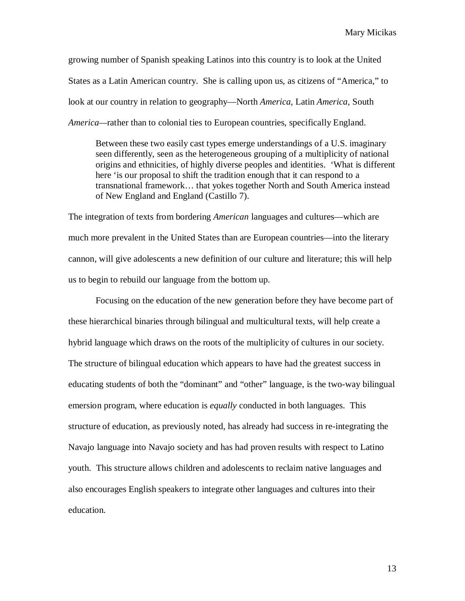growing number of Spanish speaking Latinos into this country is to look at the United States as a Latin American country. She is calling upon us, as citizens of "America," to look at our country in relation to geography—North *America*, Latin *America*, South *America—*rather than to colonial ties to European countries, specifically England.

Between these two easily cast types emerge understandings of a U.S. imaginary seen differently, seen as the heterogeneous grouping of a multiplicity of national origins and ethnicities, of highly diverse peoples and identities. 'What is different here 'is our proposal to shift the tradition enough that it can respond to a transnational framework… that yokes together North and South America instead of New England and England (Castillo 7).

The integration of texts from bordering *American* languages and cultures—which are much more prevalent in the United States than are European countries—into the literary cannon, will give adolescents a new definition of our culture and literature; this will help us to begin to rebuild our language from the bottom up.

Focusing on the education of the new generation before they have become part of these hierarchical binaries through bilingual and multicultural texts, will help create a hybrid language which draws on the roots of the multiplicity of cultures in our society. The structure of bilingual education which appears to have had the greatest success in educating students of both the "dominant" and "other" language, is the two-way bilingual emersion program, where education is *equally* conducted in both languages. This structure of education, as previously noted, has already had success in re-integrating the Navajo language into Navajo society and has had proven results with respect to Latino youth. This structure allows children and adolescents to reclaim native languages and also encourages English speakers to integrate other languages and cultures into their education.